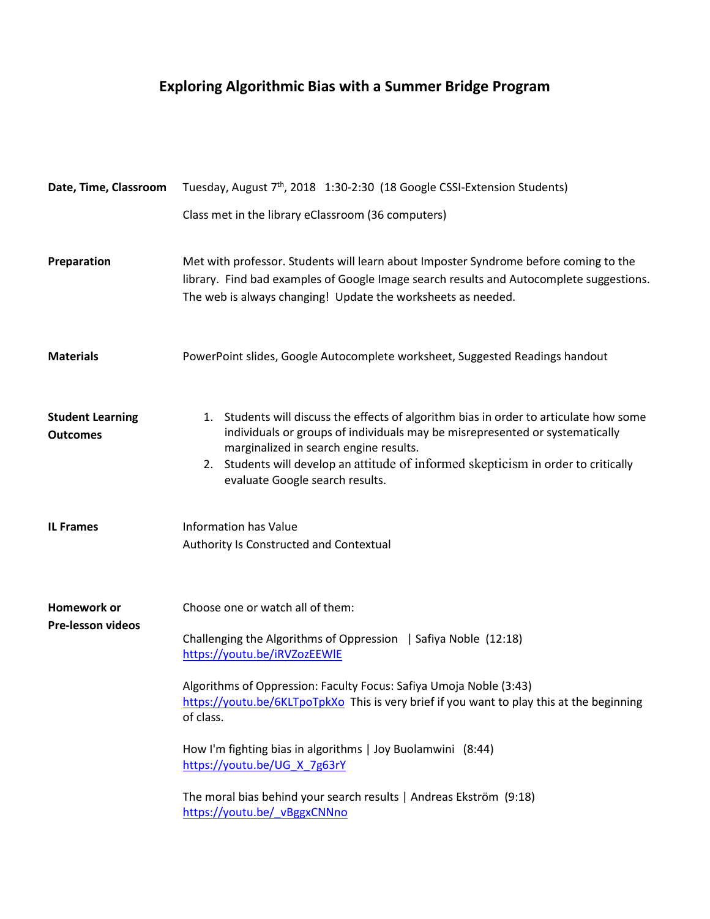# **Exploring Algorithmic Bias with a Summer Bridge Program**

| Date, Time, Classroom                      | Tuesday, August 7 <sup>th</sup> , 2018 1:30-2:30 (18 Google CSSI-Extension Students)                                                                                                                                                                                                                                                                                                                                                                                                                                     |
|--------------------------------------------|--------------------------------------------------------------------------------------------------------------------------------------------------------------------------------------------------------------------------------------------------------------------------------------------------------------------------------------------------------------------------------------------------------------------------------------------------------------------------------------------------------------------------|
|                                            | Class met in the library eClassroom (36 computers)                                                                                                                                                                                                                                                                                                                                                                                                                                                                       |
| Preparation                                | Met with professor. Students will learn about Imposter Syndrome before coming to the<br>library. Find bad examples of Google Image search results and Autocomplete suggestions.<br>The web is always changing! Update the worksheets as needed.                                                                                                                                                                                                                                                                          |
| <b>Materials</b>                           | PowerPoint slides, Google Autocomplete worksheet, Suggested Readings handout                                                                                                                                                                                                                                                                                                                                                                                                                                             |
| <b>Student Learning</b><br><b>Outcomes</b> | 1. Students will discuss the effects of algorithm bias in order to articulate how some<br>individuals or groups of individuals may be misrepresented or systematically<br>marginalized in search engine results.<br>2. Students will develop an attitude of informed skepticism in order to critically<br>evaluate Google search results.                                                                                                                                                                                |
| <b>IL Frames</b>                           | <b>Information has Value</b><br>Authority Is Constructed and Contextual                                                                                                                                                                                                                                                                                                                                                                                                                                                  |
| Homework or<br><b>Pre-lesson videos</b>    | Choose one or watch all of them:<br>Challenging the Algorithms of Oppression   Safiya Noble (12:18)<br>https://youtu.be/iRVZozEEWIE<br>Algorithms of Oppression: Faculty Focus: Safiya Umoja Noble (3:43)<br>https://youtu.be/6KLTpoTpkXo This is very brief if you want to play this at the beginning<br>of class.<br>How I'm fighting bias in algorithms   Joy Buolamwini (8:44)<br>https://youtu.be/UG_X_7g63rY<br>The moral bias behind your search results   Andreas Ekström (9:18)<br>https://youtu.be/ vBggxCNNno |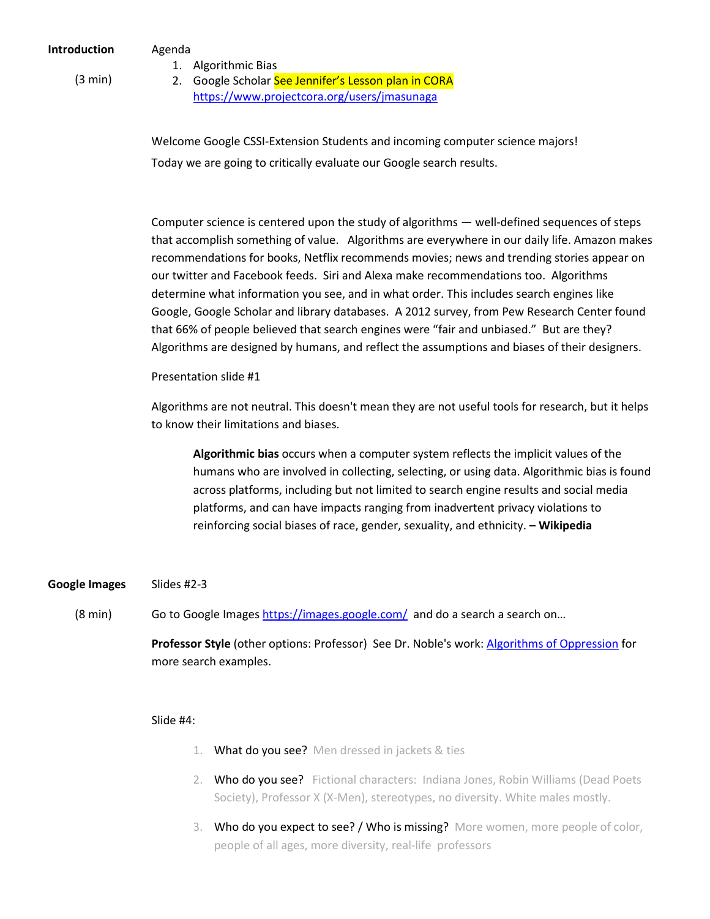Agenda 1. Algorithmic Bias

(3 min)

2. Google Scholar See Jennifer's Lesson plan in CORA <https://www.projectcora.org/users/jmasunaga>

Welcome Google CSSI-Extension Students and incoming computer science majors! Today we are going to critically evaluate our Google search results.

Computer science is centered upon the study of algorithms — well-defined sequences of steps that accomplish something of value. Algorithms are everywhere in our daily life. Amazon makes recommendations for books, Netflix recommends movies; news and trending stories appear on our twitter and Facebook feeds. Siri and Alexa make recommendations too. Algorithms determine what information you see, and in what order. This includes search engines like Google, Google Scholar and library databases. A 2012 survey, from Pew Research Center found that 66% of people believed that search engines were "fair and unbiased." But are they? Algorithms are designed by humans, and reflect the assumptions and biases of their designers.

Presentation slide #1

Algorithms are not neutral. This doesn't mean they are not useful tools for research, but it helps to know their limitations and biases.

**Algorithmic bias** occurs when a computer system reflects the implicit values of the humans who are involved in collecting, selecting, or using data. Algorithmic bias is found across platforms, including but not limited to search engine results and social media platforms, and can have impacts ranging from inadvertent privacy violations to reinforcing [social biases](https://en.wikipedia.org/wiki/Bias) of race, gender, sexuality, and ethnicity. **– Wikipedia**

#### **Google Images** Slides #2-3

(8 min) Go to Google Image[s https://images.google.com/](https://images.google.com/) and do a search a search on...

> **Professor Style** (other options: Professor) See Dr. Noble's work: [Algorithms of Oppression](https://nyupress.org/books/9781479837243/) for more search examples.

## Slide #4:

- 1. What do you see? Men dressed in jackets & ties
- 2. Who do you see? Fictional characters: Indiana Jones, Robin Williams (Dead Poets Society), Professor X (X-Men), stereotypes, no diversity. White males mostly.
- 3. Who do you expect to see? / Who is missing? More women, more people of color, people of all ages, more diversity, real-life professors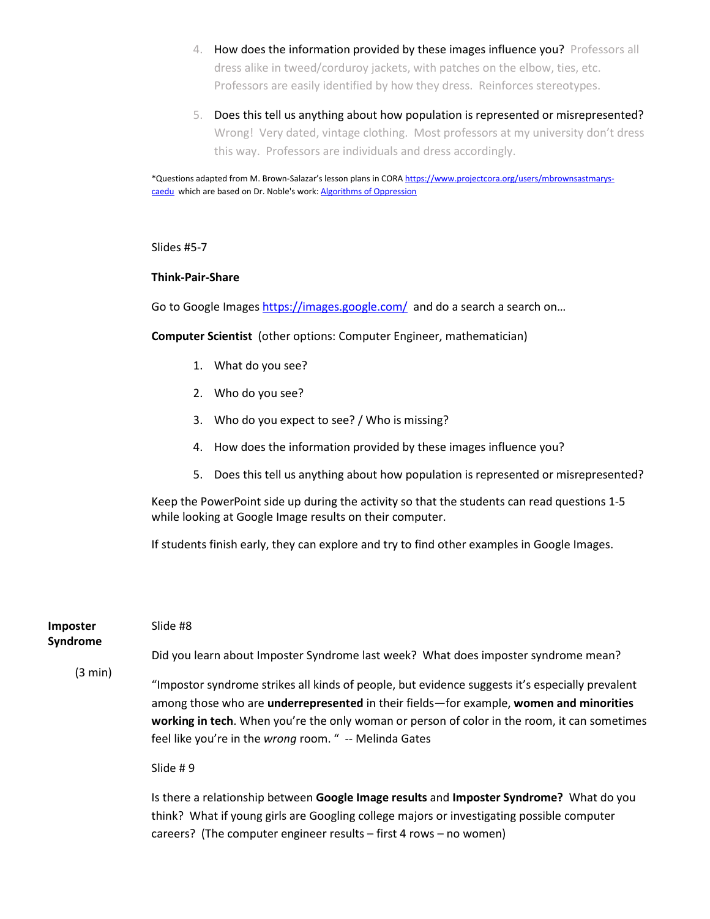- 4. How does the information provided by these images influence you? Professors all dress alike in tweed/corduroy jackets, with patches on the elbow, ties, etc. Professors are easily identified by how they dress. Reinforces stereotypes.
- 5. Does this tell us anything about how population is represented or misrepresented? Wrong! Very dated, vintage clothing. Most professors at my university don't dress this way. Professors are individuals and dress accordingly.

\*Questions adapted from M. Brown-Salazar's lesson plans in COR[A https://www.projectcora.org/users/mbrownsastmarys](https://www.projectcora.org/users/mbrownsastmarys-caedu)[caedu](https://www.projectcora.org/users/mbrownsastmarys-caedu) which are based on Dr. Noble's work: [Algorithms of Oppression](https://nyupress.org/books/9781479837243/)

Slides #5-7

#### **Think-Pair-Share**

Go to Google Images<https://images.google.com/>and do a search a search on...

**Computer Scientist** (other options: Computer Engineer, mathematician)

- 1. What do you see?
- 2. Who do you see?
- 3. Who do you expect to see? / Who is missing?
- 4. How does the information provided by these images influence you?
- 5. Does this tell us anything about how population is represented or misrepresented?

Keep the PowerPoint side up during the activity so that the students can read questions 1-5 while looking at Google Image results on their computer.

If students finish early, they can explore and try to find other examples in Google Images.

| <b>Imposter</b><br>Syndrome<br>(3 min) | Slide #8                                                                                                                                                                                                                                                                                                                                            |
|----------------------------------------|-----------------------------------------------------------------------------------------------------------------------------------------------------------------------------------------------------------------------------------------------------------------------------------------------------------------------------------------------------|
|                                        | Did you learn about Imposter Syndrome last week? What does imposter syndrome mean?                                                                                                                                                                                                                                                                  |
|                                        | "Impostor syndrome strikes all kinds of people, but evidence suggests it's especially prevalent<br>among those who are underrepresented in their fields-for example, women and minorities<br>working in tech. When you're the only woman or person of color in the room, it can sometimes<br>feel like you're in the wrong room. " -- Melinda Gates |

### Slide # 9

Is there a relationship between **Google Image results** and **Imposter Syndrome?** What do you think? What if young girls are Googling college majors or investigating possible computer careers? (The computer engineer results – first 4 rows – no women)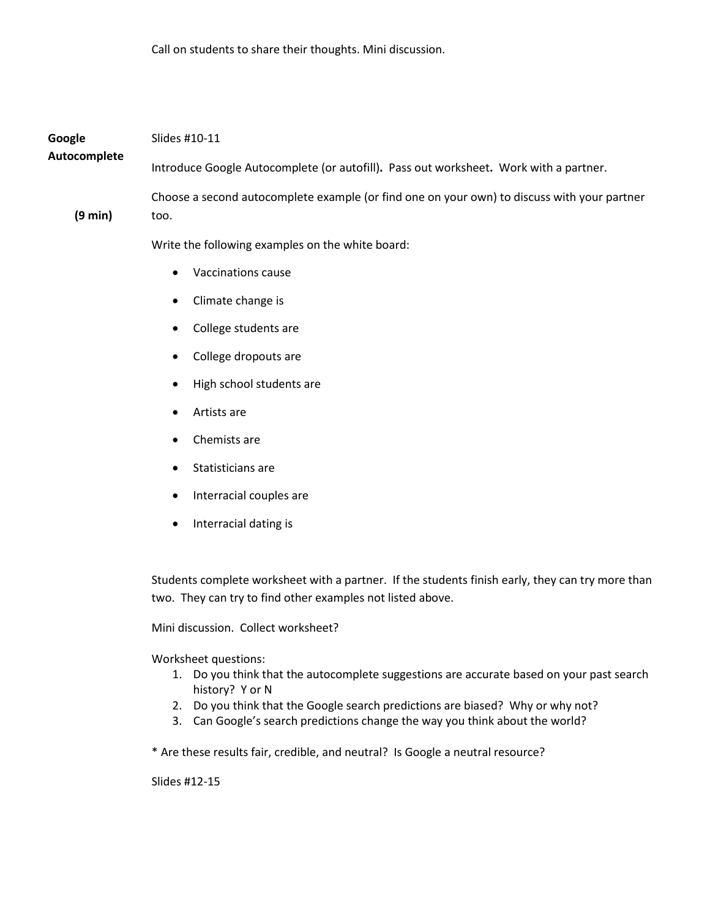| Google<br>Autocomplete | Slides #10-11                                                                                                                                                     |  |
|------------------------|-------------------------------------------------------------------------------------------------------------------------------------------------------------------|--|
|                        | Introduce Google Autocomplete (or autofill). Pass out worksheet. Work with a partner.                                                                             |  |
| (9 min)                | Choose a second autocomplete example (or find one on your own) to discuss with your partner<br>too.                                                               |  |
|                        | Write the following examples on the white board:                                                                                                                  |  |
|                        | <b>Vaccinations cause</b>                                                                                                                                         |  |
|                        | Climate change is                                                                                                                                                 |  |
|                        | College students are                                                                                                                                              |  |
|                        | College dropouts are                                                                                                                                              |  |
|                        | High school students are                                                                                                                                          |  |
|                        | Artists are                                                                                                                                                       |  |
|                        | Chemists are                                                                                                                                                      |  |
|                        | Statisticians are                                                                                                                                                 |  |
|                        | Interracial couples are<br>$\bullet$                                                                                                                              |  |
|                        | Interracial dating is<br>٠                                                                                                                                        |  |
|                        |                                                                                                                                                                   |  |
|                        | Students complete worksheet with a partner. If the students finish early, they can try more than<br>two. They can try to find other examples not listed above.    |  |
|                        | Mini discussion. Collect worksheet?                                                                                                                               |  |
|                        | Worksheet questions:                                                                                                                                              |  |
|                        | 1. Do you think that the autocomplete suggestions are accurate based on your past search<br>history? Y or N                                                       |  |
|                        | Do you think that the Google search predictions are biased? Why or why not?<br>2.<br>3. Can Google's search predictions change the way you think about the world? |  |
|                        | * Are these results fair, credible, and neutral? Is Google a neutral resource?                                                                                    |  |

Slides #12-15